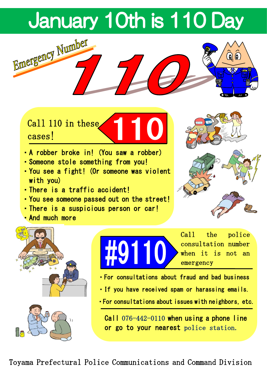# January 10th is 110 Day



Call 110 in these cases!

- ・A robber broke in! (You saw a robber)
- ・Someone stole something from you!
- ・You see a fight! (Or someone was violent with you)
- ・There is a traffic accident!
- ・You see someone passed out on the street!
- ・There is a suspicious person or car!
- ・And much more









Call the police consultation number when it is not an emergency

- ・For consultations about fraud and bad business
- ・If you have received spam or harassing emails.
- ・For consultations about issues with neighbors, etc.

Call 076-442-0110 when using a phone line or go to your nearest police station.

Toyama Prefectural Police Communications and Command Division